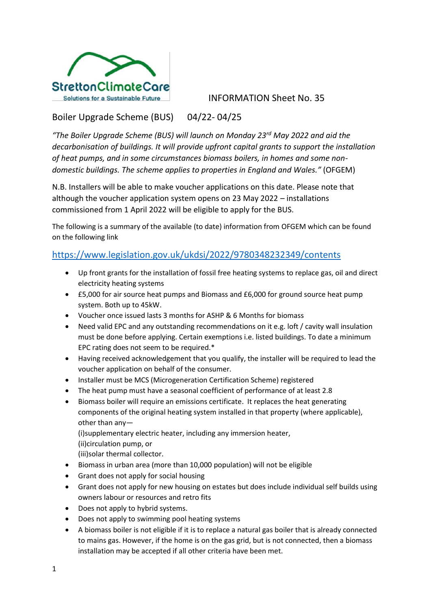

INFORMATION Sheet No. 35

## Boiler Upgrade Scheme (BUS) 04/22- 04/25

*"The Boiler Upgrade Scheme (BUS) will launch on Monday 23rd May 2022 and aid the decarbonisation of buildings. It will provide upfront capital grants to support the installation of heat pumps, and in some circumstances biomass boilers, in homes and some nondomestic buildings. The scheme applies to properties in England and Wales."* (OFGEM)

N.B. Installers will be able to make voucher applications on this date. Please note that although the voucher application system opens on 23 May 2022 – installations commissioned from 1 April 2022 will be eligible to apply for the BUS.

The following is a summary of the available (to date) information from OFGEM which can be found on the following link

## https://www.legislation.gov.uk/ukdsi/2022/9780348232349/contents

- Up front grants for the installation of fossil free heating systems to replace gas, oil and direct electricity heating systems
- £5,000 for air source heat pumps and Biomass and £6,000 for ground source heat pump system. Both up to 45kW.
- Voucher once issued lasts 3 months for ASHP & 6 Months for biomass
- Need valid EPC and any outstanding recommendations on it e.g. loft / cavity wall insulation must be done before applying. Certain exemptions i.e. listed buildings. To date a minimum EPC rating does not seem to be required.\*
- Having received acknowledgement that you qualify, the installer will be required to lead the voucher application on behalf of the consumer.
- Installer must be MCS (Microgeneration Certification Scheme) registered
- The heat pump must have a seasonal coefficient of performance of at least 2.8
- Biomass boiler will require an emissions certificate. It replaces the heat generating components of the original heating system installed in that property (where applicable), other than any—

(i)supplementary electric heater, including any immersion heater,

(ii)circulation pump, or

(iii)solar thermal collector.

- Biomass in urban area (more than 10,000 population) will not be eligible
- Grant does not apply for social housing
- Grant does not apply for new housing on estates but does include individual self builds using owners labour or resources and retro fits
- Does not apply to hybrid systems.
- Does not apply to swimming pool heating systems
- A biomass boiler is not eligible if it is to replace a natural gas boiler that is already connected to mains gas. However, if the home is on the gas grid, but is not connected, then a biomass installation may be accepted if all other criteria have been met.